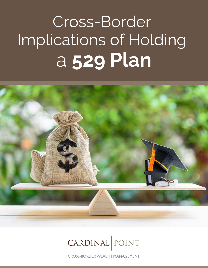# Cross-Border Implications of Holding a **529 Plan**



## CARDINAL POINT

**CROSS-BORDER WEALTH MANAGEMENT**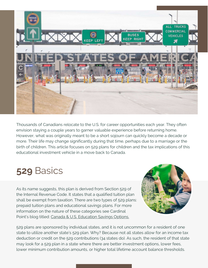

Thousands of Canadians relocate to the U.S. for career opportunities each year. They often envision staying a couple years to garner valuable experience before returning home. However, what was originally meant to be a short sojourn can quickly become a decade or more. Their life may change significantly during that time, perhaps due to a marriage or the birth of children. This article focuses on 529 plans for children and the tax implications of this educational investment vehicle in a move back to Canada.

### **529** Basics

As its name suggests, this plan is derived from Section 529 of the Internal Revenue Code. It states that a qualified tuition plan shall be exempt from taxation. There are two types of 529 plans: prepaid tuition plans and educational savings plans. For more information on the nature of these categories see Cardinal Point's blog titled: [Canada & U.S. Education Savings Options.](https://cardinalpointwealth.com/2015/06/10/canada-u-s-education-savings-options/)



529 plans are sponsored by individual states, and it is not uncommon for a resident of one state to utilize another state's 529 plan. Why? Because not all states allow for an income tax deduction or credit on the 529 contributions (34 states do). As such, the resident of that state may look for a 529 plan in a state where there are better investment options, lower fees, lower minimum contribution amounts, or higher total lifetime account balance thresholds.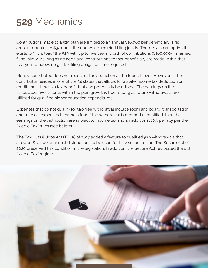

Contributions made to a 529 plan are limited to an annual \$16,000 per beneficiary. This amount doubles to \$32,000 if the donors are married filing jointly. There is also an option that exists to "front load" the 529 with up to five years' worth of contributions (\$160,000) if married filing jointly. As long as no additional contributions to that beneficiary are made within that five-year window, no gift tax filing obligations are required.

Money contributed does not receive a tax deduction at the federal level. However, if the contributor resides in one of the 34 states that allows for a state income tax deduction or credit, then there is a tax benefit that can potentially be utilized. The earnings on the associated investments within the plan grow tax free as long as future withdrawals are utilized for qualified higher education expenditures.

Expenses that do not qualify for tax-free withdrawal include room and board, transportation, and medical expenses to name a few. If the withdrawal is deemed unqualified, then the earnings on the distribution are subject to income tax and an additional 10% penalty per the "Kiddie Tax" rules (see below).

The Tax Cuts & Jobs Act (TCJA) of 2017 added a feature to qualified 529 withdrawals that allowed \$10,000 of annual distributions to be used for K-12 school tuition. The Secure Act of 2020 preserved this condition in the legislation. In addition, the Secure Act revitalized the old "Kiddie Tax" regime.

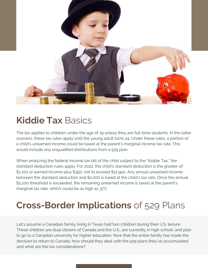

### **Kiddie Tax** Basics

The tax applies to children under the age of 19 unless they are full-time students. In the latter scenario, these tax rules apply until the young adult turns 24. Under these rules, a portion of a child's unearned income could be taxed at the parent's marginal income tax rate. This would include any unqualified distributions from a 529 plan.

When analyzing the federal income tax bill of the child subject to the "Kiddie Tax," the standard deduction rules apply. For 2022, the child's standard deduction is the greater of: \$1,100 or earned income plus \$350, not to exceed \$12,950. Any annual unearned income between the standard deduction and \$2,200 is taxed at the child's tax rate. Once the annual \$2,200 threshold is exceeded, the remaining unearned income is taxed at the parent's marginal tax rate, which could be as high as 37%.

### **Cross-Border Implications** of 529 Plans

Let's assume a Canadian family living in Texas had two children during their U.S. tenure. These children are dual citizens of Canada and the U.S., are currently in high school, and plan to go to a Canadian university for higher education. Now that the entire family has made the decision to return to Canada, how should they deal with the 529 plans they've accumulated and what are the tax considerations?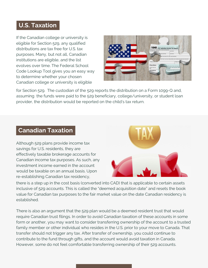### **U.S. Taxation**

If the Canadian college or university is eligible for Section 529, any qualified distributions are tax free for U.S. tax purposes. Many, but not all, Canadian institutions are eligible, and the list [evolves over time. The Federal School](https://fafsa.ed.gov/spa/fsc/#/SEARCH?locale=en_US) Code Lookup Tool gives you an easy way to determine whether your chosen Canadian college or university is eligible



for Section 529. The custodian of the 529 reports the distribution on a Form 1099-Q and, assuming the funds were paid to the 529 beneficiary, college/university, or student loan provider, the distribution would be reported on the child's tax return.

#### **Canadian Taxation**

Although 529 plans provide income tax savings for U.S. residents, they are effectively taxable brokerage accounts for Canadian income tax purposes. As such, any investment income earned in the account would be taxable on an annual basis. Upon re-establishing Canadian tax residency,



there is a step up in the cost basis (converted into CAD) that is applicable to certain assets inclusive of 529 accounts. This is called the "deemed acquisition date" and resets the book value for Canadian tax purposes to the fair market value on the date Canadian residency is established.

There is also an argument that the 529 plan would be a deemed resident trust that would require Canadian trust filings. In order to avoid Canadian taxation of these accounts in some form or another, you may want to consider transferring ownership of the account to a trusted family member or other individual who resides in the U.S. prior to your move to Canada. That transfer should not trigger any tax. After transfer of ownership, you could continue to contribute to the fund through gifts, and the account would avoid taxation in Canada. However, some do not feel comfortable transferring ownership of their 529 accounts.